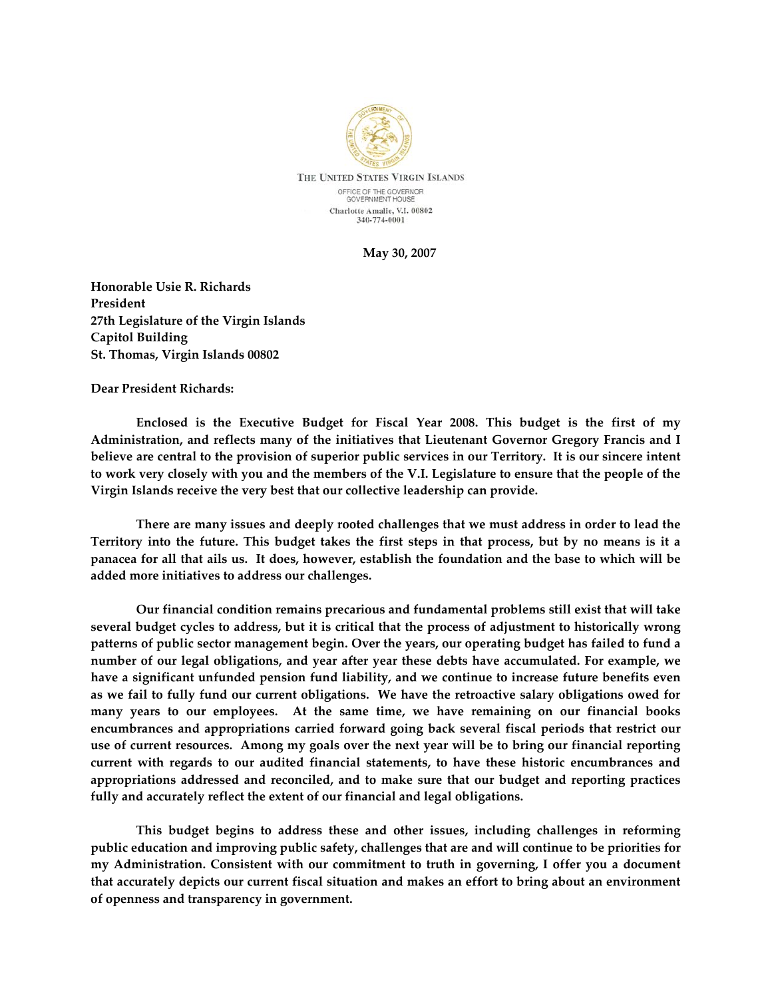

**May 30, 2007**

**Honorable Usie R. Richards President 27th Legislature of the Virgin Islands Capitol Building St. Thomas, Virgin Islands 00802**

## **Dear President Richards:**

 **Enclosed is the Executive Budget for Fiscal Year 2008. This budget is the first of my Administration, and reflects many of the initiatives that Lieutenant Governor Gregory Francis and I** believe are central to the provision of superior public services in our Territory. It is our sincere intent to work very closely with you and the members of the V.I. Legislature to ensure that the people of the **Virgin Islands receive the very best that our collective leadership can provide.** 

**There are many issues and deeply rooted challenges that we must address in order to lead the** Territory into the future. This budget takes the first steps in that process, but by no means is it a panacea for all that ails us. It does, however, establish the foundation and the base to which will be **added more initiatives to address our challenges.**

**Our financial condition remains precarious and fundamental problems still exist that will take several budget cycles to address, but it is critical that the process of adjustment to historically wrong patterns of public sector management begin. Over the years, our operating budget has failed to fund a number of our legal obligations, and year after year these debts have accumulated. For example, we have a significant unfunded pension fund liability, and we continue to increase future benefits even** as we fail to fully fund our current obligations. We have the retroactive salary obligations owed for **many years to our employees. At the same time, we have remaining on our financial books encumbrances and appropriations carried forward going back several fiscal periods that restrict our** use of current resources. Among my goals over the next year will be to bring our financial reporting **current with regards to our audited financial statements, to have these historic encumbrances and appropriations addressed and reconciled, and to make sure that our budget and reporting practices fully and accurately reflect the extent of our financial and legal obligations.** 

**This budget begins to address these and other issues, including challenges in reforming public education and improving public safety, challenges that are and will continue to be priorities for my Administration. Consistent with our commitment to truth in governing, I offer you a document that accurately depicts our current fiscal situation and makes an effort to bring about an environment of openness and transparency in government.**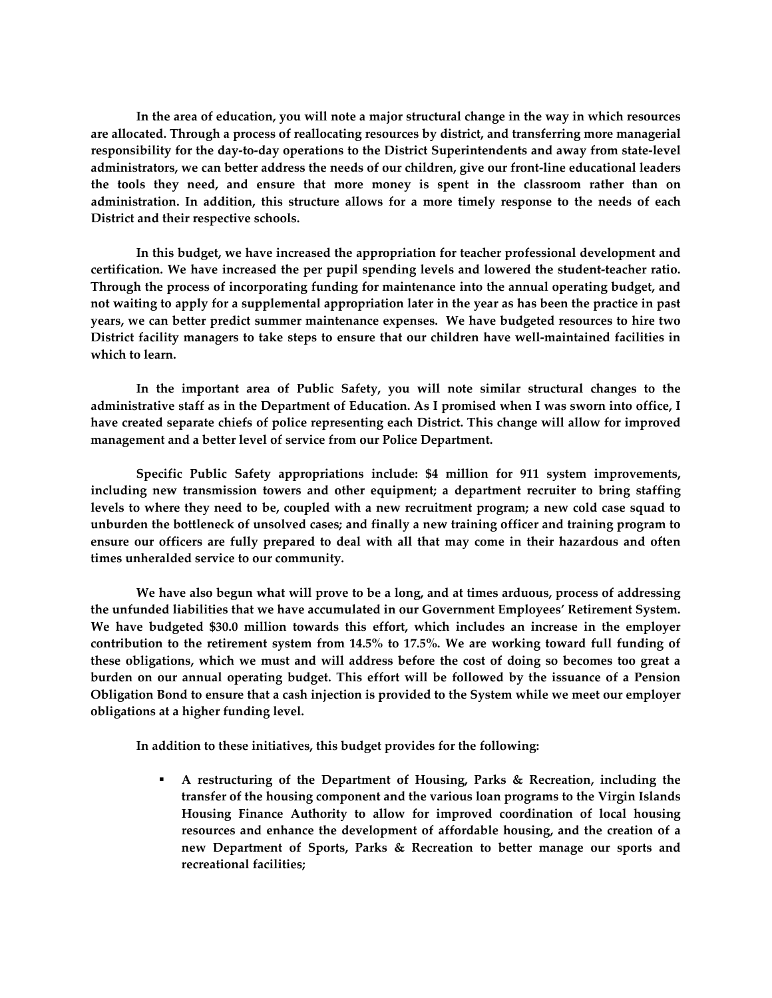**In the area of education, you will note a major structural change in the way in which resources are allocated. Through a process of reallocating resources by district, and transferring more managerial** responsibility for the day-to-day operations to the District Superintendents and away from state-level **administrators, we can better address the needs of our children, give our front‐line educational leaders the tools they need, and ensure that more money is spent in the classroom rather than on administration. In addition, this structure allows for a more timely response to the needs of each District and their respective schools.**

**In this budget, we have increased the appropriation for teacher professional development and certification. We have increased the per pupil spending levels and lowered the student‐teacher ratio. Through the process of incorporating funding for maintenance into the annual operating budget, and** not waiting to apply for a supplemental appropriation later in the year as has been the practice in past **years, we can better predict summer maintenance expenses. We have budgeted resources to hire two District facility managers to take steps to ensure that our children have well‐maintained facilities in which to learn.**

**In the important area of Public Safety, you will note similar structural changes to the** administrative staff as in the Department of Education. As I promised when I was sworn into office, I **have created separate chiefs of police representing each District. This change will allow for improved management and a better level of service from our Police Department.**

**Specific Public Safety appropriations include: \$4 million for 911 system improvements, including new transmission towers and other equipment; a department recruiter to bring staffing** levels to where they need to be, coupled with a new recruitment program; a new cold case squad to **unburden the bottleneck of unsolved cases; and finally a new training officer and training program to ensure our officers are fully prepared to deal with all that may come in their hazardous and often times unheralded service to our community.**

**We have also begun what will prove to be a long, and at times arduous, process of addressing the unfunded liabilities that we have accumulated in our Government Employees' Retirement System. We have budgeted \$30.0 million towards this effort, which includes an increase in the employer contribution to the retirement system from 14.5% to 17.5%. We are working toward full funding of these obligations, which we must and will address before the cost of doing so becomes too great a burden on our annual operating budget. This effort will be followed by the issuance of a Pension** Obligation Bond to ensure that a cash injection is provided to the System while we meet our employer **obligations at a higher funding level.**

**In addition to these initiatives, this budget provides for the following:**

 **A restructuring of the Department of Housing, Parks & Recreation, including the transfer of the housing component and the various loan programs to the Virgin Islands Housing Finance Authority to allow for improved coordination of local housing resources and enhance the development of affordable housing, and the creation of a new Department of Sports, Parks & Recreation to better manage our sports and recreational facilities;**